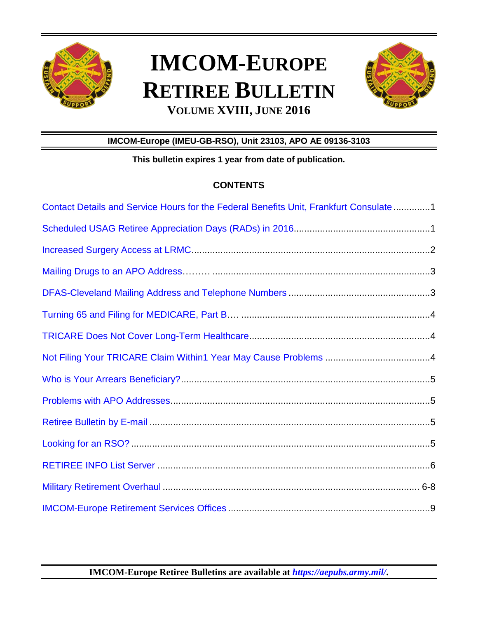

# **IMCOM-EUROPE RETIREE BULLETIN VOLUME XVIII, JUNE 2016**



# **IMCOM-Europe (IMEU-GB-RSO), Unit 23103, APO AE 09136-3103**

**This bulletin expires 1 year from date of publication.** 

# **CONTENTS**

| Contact Details and Service Hours for the Federal Benefits Unit, Frankfurt Consulate1 |
|---------------------------------------------------------------------------------------|
|                                                                                       |
|                                                                                       |
|                                                                                       |
|                                                                                       |
|                                                                                       |
|                                                                                       |
|                                                                                       |
|                                                                                       |
|                                                                                       |
|                                                                                       |
|                                                                                       |
|                                                                                       |
|                                                                                       |
|                                                                                       |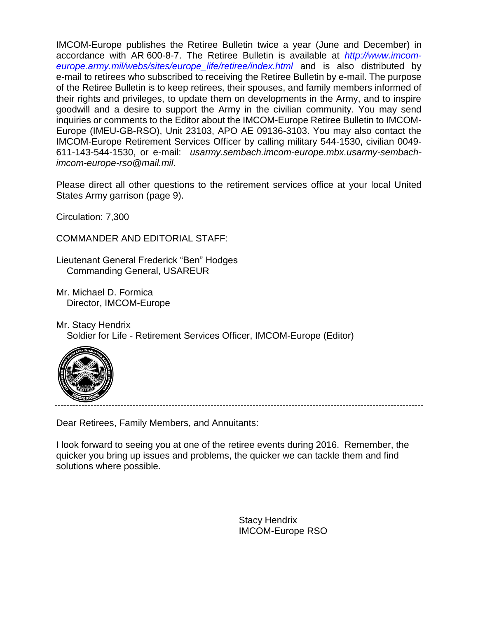IMCOM-Europe publishes the Retiree Bulletin twice a year (June and December) in accordance with AR 600-8-7. The Retiree Bulletin is available at *http://www.imcomeurope.army.mil/webs/sites/europe\_life/retiree/index.html* and is also distributed by e-mail to retirees who subscribed to receiving the Retiree Bulletin by e-mail. The purpose of the Retiree Bulletin is to keep retirees, their spouses, and family members informed of their rights and privileges, to update them on developments in the Army, and to inspire goodwill and a desire to support the Army in the civilian community. You may send inquiries or comments to the Editor about the IMCOM-Europe Retiree Bulletin to IMCOM-Europe (IMEU-GB-RSO), Unit 23103, APO AE 09136-3103. You may also contact the IMCOM-Europe Retirement Services Officer by calling military 544-1530, civilian 0049- 611-143-544-1530, or e-mail: *[usarmy.sembach.imcom-europe.mbx.usarmy-sembach](mailto:usarmy.sembach.imcom-europe.mbx.usarmy-sembach-imcom-europe-rso@mail.mil)[imcom-europe-rso@mail.mil](mailto:usarmy.sembach.imcom-europe.mbx.usarmy-sembach-imcom-europe-rso@mail.mil)*.

Please direct all other questions to the retirement services office at your local United States Army garrison (page 9).

Circulation: 7,300

COMMANDER AND EDITORIAL STAFF:

Lieutenant General Frederick "Ben" Hodges Commanding General, USAREUR

Mr. Michael D. Formica Director, IMCOM-Europe

Mr. Stacy Hendrix Soldier for Life - Retirement Services Officer, IMCOM-Europe (Editor)



Dear Retirees, Family Members, and Annuitants:

I look forward to seeing you at one of the retiree events during 2016. Remember, the quicker you bring up issues and problems, the quicker we can tackle them and find solutions where possible.

> Stacy Hendrix IMCOM-Europe RSO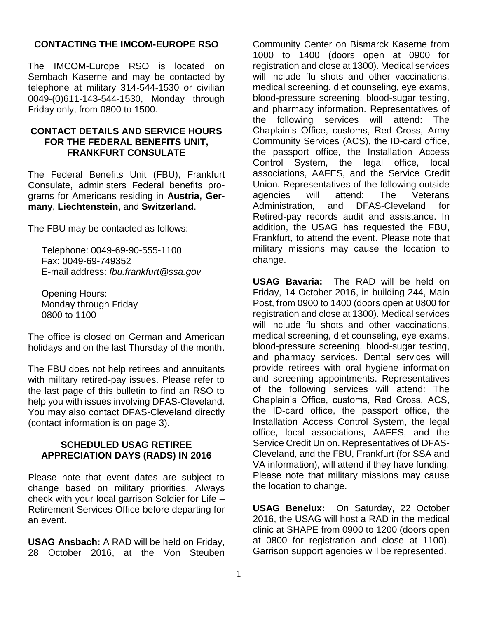# **CONTACTING THE IMCOM-EUROPE RSO**

The IMCOM-Europe RSO is located on Sembach Kaserne and may be contacted by telephone at military 314-544-1530 or civilian 0049-(0)611-143-544-1530, Monday through Friday only, from 0800 to 1500.

#### <span id="page-2-0"></span>**CONTACT DETAILS AND SERVICE HOURS FOR THE FEDERAL BENEFITS UNIT, FRANKFURT CONSULATE**

The Federal Benefits Unit (FBU), Frankfurt Consulate, administers Federal benefits programs for Americans residing in **Austria, Germany**, **Liechtenstein**, and **Switzerland**.

The FBU may be contacted as follows:

Telephone: 0049-69-90-555-1100 Fax: 0049-69-749352 E-mail address: *[fbu.frankfurt@ssa.gov](mailto:fbu.frankfurt@ssa.gov)*

Opening Hours: Monday through Friday 0800 to 1100

The office is closed on German and American holidays and on the last Thursday of the month.

The FBU does not help retirees and annuitants with military retired-pay issues. Please refer to the last page of this bulletin to find an RSO to help you with issues involving DFAS-Cleveland. You may also contact DFAS-Cleveland directly (contact information is on page 3).

#### <span id="page-2-1"></span>**SCHEDULED USAG RETIREE APPRECIATION DAYS (RADS) IN 2016**

Please note that event dates are subject to change based on military priorities. Always check with your local garrison Soldier for Life – Retirement Services Office before departing for an event.

**USAG Ansbach:** A RAD will be held on Friday, 28 October 2016, at the Von Steuben Community Center on Bismarck Kaserne from 1000 to 1400 (doors open at 0900 for registration and close at 1300). Medical services will include flu shots and other vaccinations, medical screening, diet counseling, eye exams, blood-pressure screening, blood-sugar testing, and pharmacy information. Representatives of the following services will attend: The Chaplain's Office, customs, Red Cross, Army Community Services (ACS), the ID-card office, the passport office, the Installation Access Control System, the legal office, local associations, AAFES, and the Service Credit Union. Representatives of the following outside agencies will attend: The Veterans Administration, and DFAS-Cleveland for Retired-pay records audit and assistance. In addition, the USAG has requested the FBU, Frankfurt, to attend the event. Please note that military missions may cause the location to change.

**USAG Bavaria:** The RAD will be held on Friday, 14 October 2016, in building 244, Main Post, from 0900 to 1400 (doors open at 0800 for registration and close at 1300). Medical services will include flu shots and other vaccinations, medical screening, diet counseling, eye exams, blood-pressure screening, blood-sugar testing, and pharmacy services. Dental services will provide retirees with oral hygiene information and screening appointments. Representatives of the following services will attend: The Chaplain's Office, customs, Red Cross, ACS, the ID-card office, the passport office, the Installation Access Control System, the legal office, local associations, AAFES, and the Service Credit Union. Representatives of DFAS-Cleveland, and the FBU, Frankfurt (for SSA and VA information), will attend if they have funding. Please note that military missions may cause the location to change.

**USAG Benelux:** On Saturday, 22 October 2016, the USAG will host a RAD in the medical clinic at SHAPE from 0900 to 1200 (doors open at 0800 for registration and close at 1100). Garrison support agencies will be represented.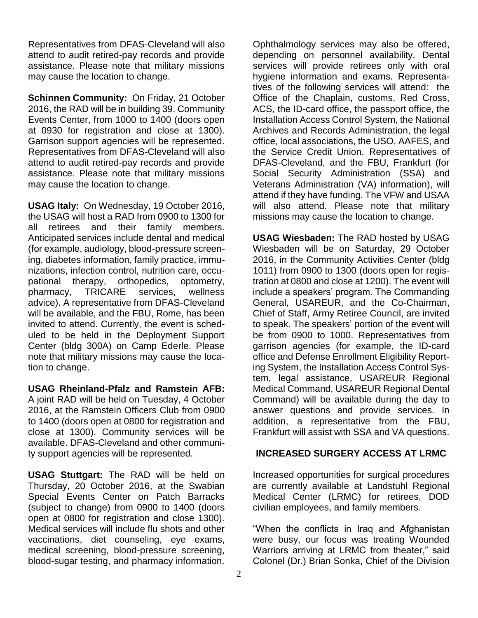Representatives from DFAS-Cleveland will also attend to audit retired-pay records and provide assistance. Please note that military missions may cause the location to change.

**Schinnen Community:** On Friday, 21 October 2016, the RAD will be in building 39, Community Events Center, from 1000 to 1400 (doors open at 0930 for registration and close at 1300). Garrison support agencies will be represented. Representatives from DFAS-Cleveland will also attend to audit retired-pay records and provide assistance. Please note that military missions may cause the location to change.

**USAG Italy:** On Wednesday, 19 October 2016, the USAG will host a RAD from 0900 to 1300 for all retirees and their family members. Anticipated services include dental and medical (for example, audiology, blood-pressure screening, diabetes information, family practice, immunizations, infection control, nutrition care, occupational therapy, orthopedics, optometry, pharmacy, TRICARE services, wellness advice). A representative from DFAS-Cleveland will be available, and the FBU, Rome, has been invited to attend. Currently, the event is scheduled to be held in the Deployment Support Center (bldg 300A) on Camp Ederle. Please note that military missions may cause the location to change.

**USAG Rheinland-Pfalz and Ramstein AFB:** A joint RAD will be held on Tuesday, 4 October 2016, at the Ramstein Officers Club from 0900 to 1400 (doors open at 0800 for registration and close at 1300). Community services will be available. DFAS-Cleveland and other community support agencies will be represented.

**USAG Stuttgart:** The RAD will be held on Thursday, 20 October 2016, at the Swabian Special Events Center on Patch Barracks (subject to change) from 0900 to 1400 (doors open at 0800 for registration and close 1300). Medical services will include flu shots and other vaccinations, diet counseling, eye exams, medical screening, blood-pressure screening, blood-sugar testing, and pharmacy information.

Ophthalmology services may also be offered, depending on personnel availability. Dental services will provide retirees only with oral hygiene information and exams. Representatives of the following services will attend: the Office of the Chaplain, customs, Red Cross, ACS, the ID-card office, the passport office, the Installation Access Control System, the National Archives and Records Administration, the legal office, local associations, the USO, AAFES, and the Service Credit Union. Representatives of DFAS-Cleveland, and the FBU, Frankfurt (for Social Security Administration (SSA) and Veterans Administration (VA) information), will attend if they have funding. The VFW and USAA will also attend. Please note that military missions may cause the location to change.

**USAG Wiesbaden:** The RAD hosted by USAG Wiesbaden will be on Saturday, 29 October 2016, in the Community Activities Center (bldg 1011) from 0900 to 1300 (doors open for registration at 0800 and close at 1200). The event will include a speakers' program. The Commanding General, USAREUR, and the Co-Chairman, Chief of Staff, Army Retiree Council, are invited to speak. The speakers' portion of the event will be from 0900 to 1000. Representatives from garrison agencies (for example, the ID-card office and Defense Enrollment Eligibility Reporting System, the Installation Access Control System, legal assistance, USAREUR Regional Medical Command, USAREUR Regional Dental Command) will be available during the day to answer questions and provide services. In addition, a representative from the FBU, Frankfurt will assist with SSA and VA questions.

# <span id="page-3-0"></span>**INCREASED SURGERY ACCESS AT LRMC**

Increased opportunities for surgical procedures are currently available at Landstuhl Regional Medical Center (LRMC) for retirees, DOD civilian employees, and family members.

"When the conflicts in Iraq and Afghanistan were busy, our focus was treating Wounded Warriors arriving at LRMC from theater," said Colonel (Dr.) Brian Sonka, Chief of the Division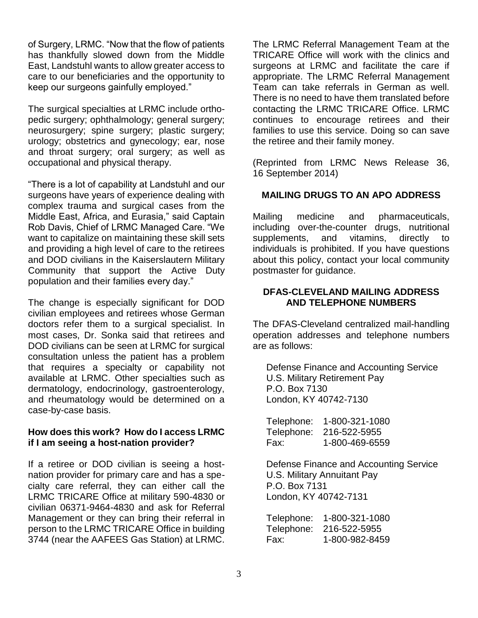of Surgery, LRMC. "Now that the flow of patients has thankfully slowed down from the Middle East, Landstuhl wants to allow greater access to care to our beneficiaries and the opportunity to keep our surgeons gainfully employed."

The surgical specialties at LRMC include orthopedic surgery; ophthalmology; general surgery; neurosurgery; spine surgery; plastic surgery; urology; obstetrics and gynecology; ear, nose and throat surgery; oral surgery; as well as occupational and physical therapy.

"There is a lot of capability at Landstuhl and our surgeons have years of experience dealing with complex trauma and surgical cases from the Middle East, Africa, and Eurasia," said Captain Rob Davis, Chief of LRMC Managed Care. "We want to capitalize on maintaining these skill sets and providing a high level of care to the retirees and DOD civilians in the Kaiserslautern Military Community that support the Active Duty population and their families every day."

The change is especially significant for DOD civilian employees and retirees whose German doctors refer them to a surgical specialist. In most cases, Dr. Sonka said that retirees and DOD civilians can be seen at LRMC for surgical consultation unless the patient has a problem that requires a specialty or capability not available at LRMC. Other specialties such as dermatology, endocrinology, gastroenterology, and rheumatology would be determined on a case-by-case basis.

#### **How does this work? How do I access LRMC if I am seeing a host-nation provider?**

If a retiree or DOD civilian is seeing a hostnation provider for primary care and has a specialty care referral, they can either call the LRMC TRICARE Office at military 590-4830 or civilian 06371-9464-4830 and ask for Referral Management or they can bring their referral in person to the LRMC TRICARE Office in building 3744 (near the AAFEES Gas Station) at LRMC.

The LRMC Referral Management Team at the TRICARE Office will work with the clinics and surgeons at LRMC and facilitate the care if appropriate. The LRMC Referral Management Team can take referrals in German as well. There is no need to have them translated before contacting the LRMC TRICARE Office. LRMC continues to encourage retirees and their families to use this service. Doing so can save the retiree and their family money.

(Reprinted from LRMC News Release 36, 16 September 2014)

# <span id="page-4-0"></span>**MAILING DRUGS TO AN APO ADDRESS**

Mailing medicine and pharmaceuticals, including over-the-counter drugs, nutritional supplements, and vitamins, directly to individuals is prohibited. If you have questions about this policy, contact your local community postmaster for guidance.

#### <span id="page-4-1"></span>**DFAS-CLEVELAND MAILING ADDRESS AND TELEPHONE NUMBERS**

The DFAS-Cleveland centralized mail-handling operation addresses and telephone numbers are as follows:

 Defense Finance and Accounting Service U.S. Military Retirement Pay P.O. Box 7130 London, KY 40742-7130

 Telephone: 1-800-321-1080 Telephone: 216-522-5955 Fax: 1-800-469-6559

 Defense Finance and Accounting Service U.S. Military Annuitant Pay P.O. Box 7131 London, KY 40742-7131

 Telephone: 1-800-321-1080 Telephone: 216-522-5955 Fax: 1-800-982-8459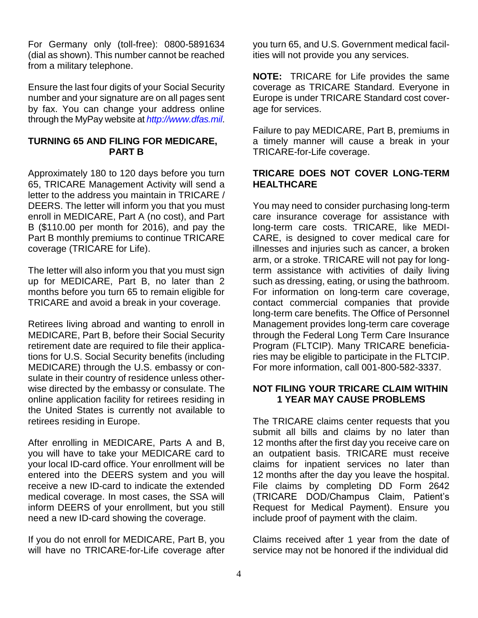For Germany only (toll-free): 0800-5891634 (dial as shown). This number cannot be reached from a military telephone.

Ensure the last four digits of your Social Security number and your signature are on all pages sent by fax. You can change your address online through the MyPay website at *http://www.dfas.mil*.

# <span id="page-5-0"></span>**TURNING 65 AND FILING FOR MEDICARE, PART B**

Approximately 180 to 120 days before you turn 65, TRICARE Management Activity will send a letter to the address you maintain in TRICARE / DEERS. The letter will inform you that you must enroll in MEDICARE, Part A (no cost), and Part B (\$110.00 per month for 2016), and pay the Part B monthly premiums to continue TRICARE coverage (TRICARE for Life).

The letter will also inform you that you must sign up for MEDICARE, Part B, no later than 2 months before you turn 65 to remain eligible for TRICARE and avoid a break in your coverage.

Retirees living abroad and wanting to enroll in MEDICARE, Part B, before their Social Security retirement date are required to file their applications for U.S. Social Security benefits (including MEDICARE) through the U.S. embassy or consulate in their country of residence unless otherwise directed by the embassy or consulate. The online application facility for retirees residing in the United States is currently not available to retirees residing in Europe.

After enrolling in MEDICARE, Parts A and B, you will have to take your MEDICARE card to your local ID-card office. Your enrollment will be entered into the DEERS system and you will receive a new ID-card to indicate the extended medical coverage. In most cases, the SSA will inform DEERS of your enrollment, but you still need a new ID-card showing the coverage.

If you do not enroll for MEDICARE, Part B, you will have no TRICARE-for-Life coverage after you turn 65, and U.S. Government medical facilities will not provide you any services.

**NOTE:** TRICARE for Life provides the same coverage as TRICARE Standard. Everyone in Europe is under TRICARE Standard cost coverage for services.

Failure to pay MEDICARE, Part B, premiums in a timely manner will cause a break in your TRICARE-for-Life coverage.

### <span id="page-5-1"></span>**TRICARE DOES NOT COVER LONG-TERM HEALTHCARE**

You may need to consider purchasing long-term care insurance coverage for assistance with long-term care costs. TRICARE, like MEDI-CARE, is designed to cover medical care for illnesses and injuries such as cancer, a broken arm, or a stroke. TRICARE will not pay for longterm assistance with activities of daily living such as dressing, eating, or using the bathroom. For information on long-term care coverage, contact commercial companies that provide long-term care benefits. The Office of Personnel Management provides long-term care coverage through the Federal Long Term Care Insurance Program (FLTCIP). Many TRICARE beneficiaries may be eligible to participate in the FLTCIP. For more information, call 001-800-582-3337.

#### <span id="page-5-2"></span>**NOT FILING YOUR TRICARE CLAIM WITHIN 1 YEAR MAY CAUSE PROBLEMS**

The TRICARE claims center requests that you submit all bills and claims by no later than 12 months after the first day you receive care on an outpatient basis. TRICARE must receive claims for inpatient services no later than 12 months after the day you leave the hospital. File claims by completing DD Form 2642 (TRICARE DOD/Champus Claim, Patient's Request for Medical Payment). Ensure you include proof of payment with the claim.

Claims received after 1 year from the date of service may not be honored if the individual did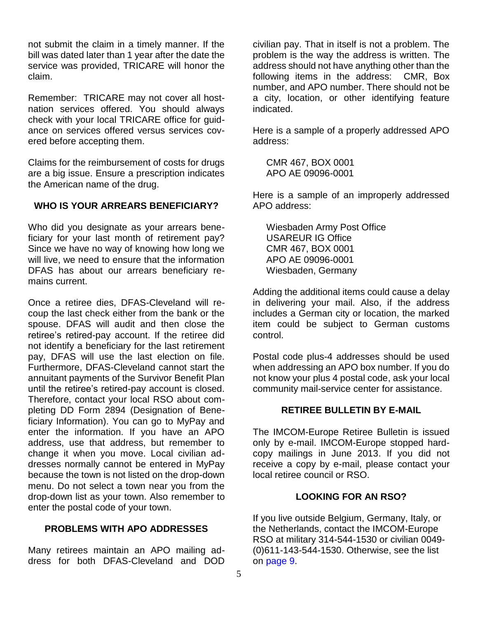not submit the claim in a timely manner. If the bill was dated later than 1 year after the date the service was provided, TRICARE will honor the claim.

Remember: TRICARE may not cover all hostnation services offered. You should always check with your local TRICARE office for guidance on services offered versus services covered before accepting them.

Claims for the reimbursement of costs for drugs are a big issue. Ensure a prescription indicates the American name of the drug.

# <span id="page-6-0"></span>**WHO IS YOUR ARREARS BENEFICIARY?**

Who did you designate as your arrears beneficiary for your last month of retirement pay? Since we have no way of knowing how long we will live, we need to ensure that the information DFAS has about our arrears beneficiary remains current.

Once a retiree dies, DFAS-Cleveland will recoup the last check either from the bank or the spouse. DFAS will audit and then close the retiree's retired-pay account. If the retiree did not identify a beneficiary for the last retirement pay, DFAS will use the last election on file. Furthermore, DFAS-Cleveland cannot start the annuitant payments of the Survivor Benefit Plan until the retiree's retired-pay account is closed. Therefore, contact your local RSO about completing DD Form 2894 (Designation of Beneficiary Information). You can go to MyPay and enter the information. If you have an APO address, use that address, but remember to change it when you move. Local civilian addresses normally cannot be entered in MyPay because the town is not listed on the drop-down menu. Do not select a town near you from the drop-down list as your town. Also remember to enter the postal code of your town.

# <span id="page-6-1"></span>**PROBLEMS WITH APO ADDRESSES**

Many retirees maintain an APO mailing address for both DFAS-Cleveland and DOD civilian pay. That in itself is not a problem. The problem is the way the address is written. The address should not have anything other than the following items in the address: CMR, Box number, and APO number. There should not be a city, location, or other identifying feature indicated.

Here is a sample of a properly addressed APO address:

 CMR 467, BOX 0001 APO AE 09096-0001

Here is a sample of an improperly addressed APO address:

 Wiesbaden Army Post Office USAREUR IG Office CMR 467, BOX 0001 APO AE 09096-0001 Wiesbaden, Germany

Adding the additional items could cause a delay in delivering your mail. Also, if the address includes a German city or location, the marked item could be subject to German customs control.

Postal code plus-4 addresses should be used when addressing an APO box number. If you do not know your plus 4 postal code, ask your local community mail-service center for assistance.

# **RETIREE BULLETIN BY E-MAIL**

<span id="page-6-2"></span>The IMCOM-Europe Retiree Bulletin is issued only by e-mail. IMCOM-Europe stopped hardcopy mailings in June 2013. If you did not receive a copy by e-mail, please contact your local retiree council or RSO.

#### **LOOKING FOR AN RSO?**

<span id="page-6-3"></span>If you live outside Belgium, Germany, Italy, or the Netherlands, contact the IMCOM-Europe RSO at military 314-544-1530 or civilian 0049- (0)611-143-544-1530. Otherwise, see the list on [page 9.](#page-10-0)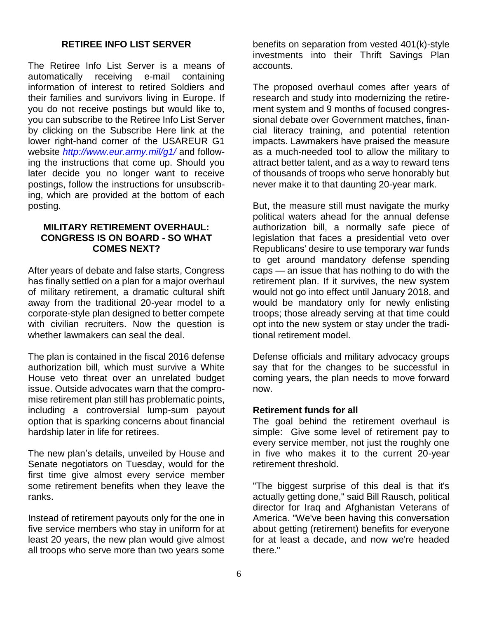# **RETIREE INFO LIST SERVER**

<span id="page-7-0"></span>The Retiree Info List Server is a means of automatically receiving e-mail containing information of interest to retired Soldiers and their families and survivors living in Europe. If you do not receive postings but would like to, you can subscribe to the Retiree Info List Server by clicking on the Subscribe Here link at the lower right-hand corner of the USAREUR G1 website *http://www.eur.army.mil/g1/* and following the instructions that come up. Should you later decide you no longer want to receive postings, follow the instructions for unsubscribing, which are provided at the bottom of each posting.

#### <span id="page-7-1"></span>**MILITARY RETIREMENT OVERHAUL: CONGRESS IS ON BOARD - SO WHAT COMES NEXT?**

After years of debate and false starts, Congress has finally settled on a plan for a major overhaul of military retirement, a dramatic cultural shift away from the traditional 20-year model to a corporate-style plan designed to better compete with civilian recruiters. Now the question is whether lawmakers can seal the deal.

The plan is contained in the fiscal 2016 defense authorization bill, which must survive a White House veto threat over an unrelated budget issue. Outside advocates warn that the compromise retirement plan still has problematic points, including a controversial lump-sum payout option that is sparking concerns about financial hardship later in life for retirees.

The new plan's details, unveiled by House and Senate negotiators on Tuesday, would for the first time give almost every service member some retirement benefits when they leave the ranks.

Instead of retirement payouts only for the one in five service members who stay in uniform for at least 20 years, the new plan would give almost all troops who serve more than two years some

benefits on separation from vested 401(k)-style investments into their Thrift Savings Plan accounts.

The proposed overhaul comes after years of research and study into modernizing the retirement system and 9 months of focused congressional debate over Government matches, financial literacy training, and potential retention impacts. Lawmakers have praised the measure as a much-needed tool to allow the military to attract better talent, and as a way to reward tens of thousands of troops who serve honorably but never make it to that daunting 20-year mark.

But, the measure still must navigate the murky political waters ahead for the annual defense authorization bill, a normally safe piece of legislation that faces a presidential veto over Republicans' desire to use temporary war funds to get around mandatory defense spending caps — an issue that has nothing to do with the retirement plan. If it survives, the new system would not go into effect until January 2018, and would be mandatory only for newly enlisting troops; those already serving at that time could opt into the new system or stay under the traditional retirement model.

Defense officials and military advocacy groups say that for the changes to be successful in coming years, the plan needs to move forward now.

#### **Retirement funds for all**

The goal behind the retirement overhaul is simple: Give some level of retirement pay to every service member, not just the roughly one in five who makes it to the current 20-year retirement threshold.

"The biggest surprise of this deal is that it's actually getting done," said Bill Rausch, political director for Iraq and Afghanistan Veterans of America. "We've been having this conversation about getting (retirement) benefits for everyone for at least a decade, and now we're headed there."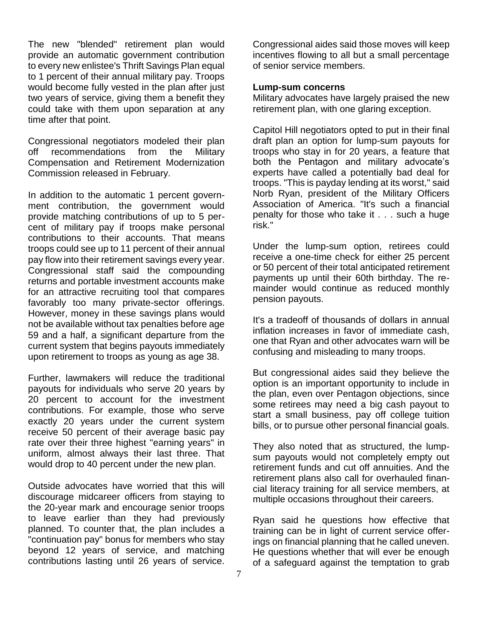The new "blended" retirement plan would provide an automatic government contribution to every new enlistee's Thrift Savings Plan equal to 1 percent of their annual military pay. Troops would become fully vested in the plan after just two years of service, giving them a benefit they could take with them upon separation at any time after that point.

Congressional negotiators modeled their plan off recommendations from the Military Compensation and Retirement Modernization Commission released in February.

In addition to the automatic 1 percent government contribution, the government would provide matching contributions of up to 5 percent of military pay if troops make personal contributions to their accounts. That means troops could see up to 11 percent of their annual pay flow into their retirement savings every year. Congressional staff said the compounding returns and portable investment accounts make for an attractive recruiting tool that compares favorably too many private-sector offerings. However, money in these savings plans would not be available without tax penalties before age 59 and a half, a significant departure from the current system that begins payouts immediately upon retirement to troops as young as age 38.

Further, lawmakers will reduce the traditional payouts for individuals who serve 20 years by 20 percent to account for the investment contributions. For example, those who serve exactly 20 years under the current system receive 50 percent of their average basic pay rate over their three highest "earning years" in uniform, almost always their last three. That would drop to 40 percent under the new plan.

Outside advocates have worried that this will discourage midcareer officers from staying to the 20-year mark and encourage senior troops to leave earlier than they had previously planned. To counter that, the plan includes a "continuation pay" bonus for members who stay beyond 12 years of service, and matching contributions lasting until 26 years of service.

Congressional aides said those moves will keep incentives flowing to all but a small percentage of senior service members.

#### **Lump-sum concerns**

Military advocates have largely praised the new retirement plan, with one glaring exception.

Capitol Hill negotiators opted to put in their final draft plan an option for lump-sum payouts for troops who stay in for 20 years, a feature that both the Pentagon and military advocate's experts have called a potentially bad deal for troops. "This is payday lending at its worst," said Norb Ryan, president of the Military Officers Association of America. "It's such a financial penalty for those who take it . . . such a huge risk."

Under the lump-sum option, retirees could receive a one-time check for either 25 percent or 50 percent of their total anticipated retirement payments up until their 60th birthday. The remainder would continue as reduced monthly pension payouts.

It's a tradeoff of thousands of dollars in annual inflation increases in favor of immediate cash, one that Ryan and other advocates warn will be confusing and misleading to many troops.

But congressional aides said they believe the option is an important opportunity to include in the plan, even over Pentagon objections, since some retirees may need a big cash payout to start a small business, pay off college tuition bills, or to pursue other personal financial goals.

They also noted that as structured, the lumpsum payouts would not completely empty out retirement funds and cut off annuities. And the retirement plans also call for overhauled financial literacy training for all service members, at multiple occasions throughout their careers.

Ryan said he questions how effective that training can be in light of current service offerings on financial planning that he called uneven. He questions whether that will ever be enough of a safeguard against the temptation to grab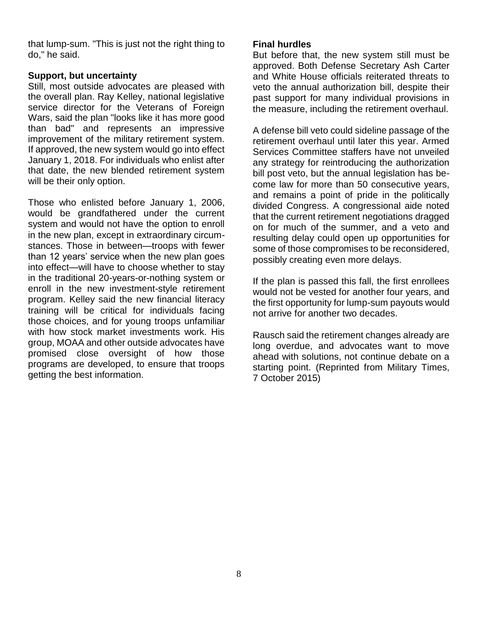that lump-sum. "This is just not the right thing to do," he said.

#### **Support, but uncertainty**

Still, most outside advocates are pleased with the overall plan. Ray Kelley, national legislative service director for the Veterans of Foreign Wars, said the plan "looks like it has more good than bad" and represents an impressive improvement of the military retirement system. If approved, the new system would go into effect January 1, 2018. For individuals who enlist after that date, the new blended retirement system will be their only option.

Those who enlisted before January 1, 2006, would be grandfathered under the current system and would not have the option to enroll in the new plan, except in extraordinary circumstances. Those in between—troops with fewer than 12 years' service when the new plan goes into effect—will have to choose whether to stay in the traditional 20-years-or-nothing system or enroll in the new investment-style retirement program. Kelley said the new financial literacy training will be critical for individuals facing those choices, and for young troops unfamiliar with how stock market investments work. His group, MOAA and other outside advocates have promised close oversight of how those programs are developed, to ensure that troops getting the best information.

#### **Final hurdles**

But before that, the new system still must be approved. Both Defense Secretary Ash Carter and White House officials reiterated threats to veto the annual authorization bill, despite their past support for many individual provisions in the measure, including the retirement overhaul.

A defense bill veto could sideline passage of the retirement overhaul until later this year. Armed Services Committee staffers have not unveiled any strategy for reintroducing the authorization bill post veto, but the annual legislation has become law for more than 50 consecutive years, and remains a point of pride in the politically divided Congress. A congressional aide noted that the current retirement negotiations dragged on for much of the summer, and a veto and resulting delay could open up opportunities for some of those compromises to be reconsidered, possibly creating even more delays.

If the plan is passed this fall, the first enrollees would not be vested for another four years, and the first opportunity for lump-sum payouts would not arrive for another two decades.

Rausch said the retirement changes already are long overdue, and advocates want to move ahead with solutions, not continue debate on a starting point. (Reprinted from Military Times, 7 October 2015)